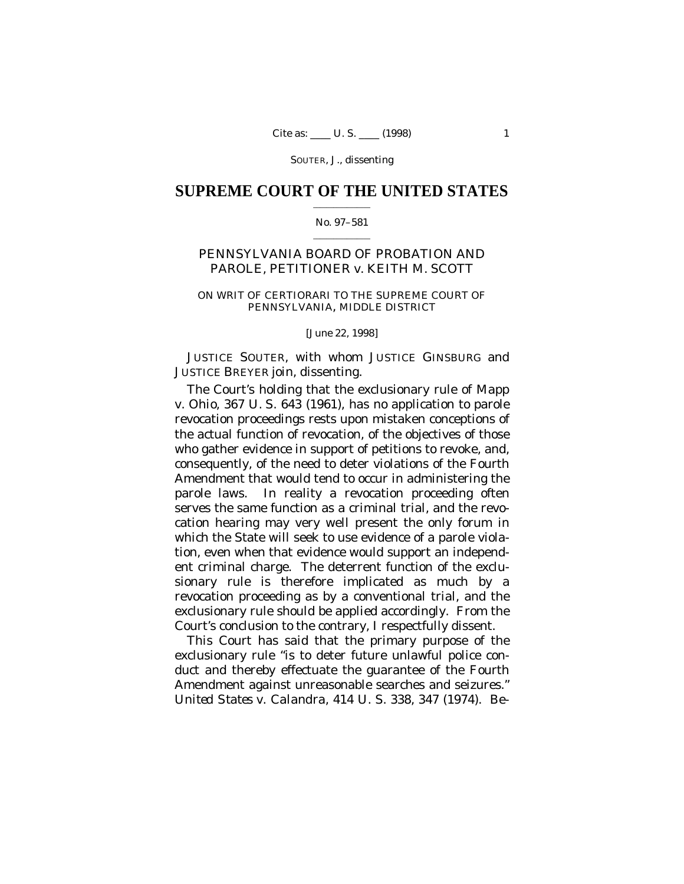## **SUPREME COURT OF THE UNITED STATES**  $\mathcal{L}=\mathcal{L}^{\mathcal{L}}$  , where  $\mathcal{L}^{\mathcal{L}}$

### No. 97–581  $\mathcal{L}=\mathcal{L}^{\mathcal{L}}$  , where  $\mathcal{L}^{\mathcal{L}}$

# PENNSYLVANIA BOARD OF PROBATION AND PAROLE, PETITIONER *v.* KEITH M. SCOTT

## ON WRIT OF CERTIORARI TO THE SUPREME COURT OF PENNSYLVANIA, MIDDLE DISTRICT

## [June 22, 1998]

JUSTICE SOUTER, with whom JUSTICE GINSBURG and JUSTICE BREYER join, dissenting.

The Court's holding that the exclusionary rule of *Mapp* v. *Ohio*, 367 U. S. 643 (1961), has no application to parole revocation proceedings rests upon mistaken conceptions of the actual function of revocation, of the objectives of those who gather evidence in support of petitions to revoke, and, consequently, of the need to deter violations of the Fourth Amendment that would tend to occur in administering the parole laws. In reality a revocation proceeding often serves the same function as a criminal trial, and the revocation hearing may very well present the only forum in which the State will seek to use evidence of a parole violation, even when that evidence would support an independent criminal charge. The deterrent function of the exclusionary rule is therefore implicated as much by a revocation proceeding as by a conventional trial, and the exclusionary rule should be applied accordingly. From the Court's conclusion to the contrary, I respectfully dissent.

This Court has said that the primary purpose of the exclusionary rule "is to deter future unlawful police conduct and thereby effectuate the guarantee of the Fourth Amendment against unreasonable searches and seizures." *United States* v. *Calandra*, 414 U. S. 338, 347 (1974). Be-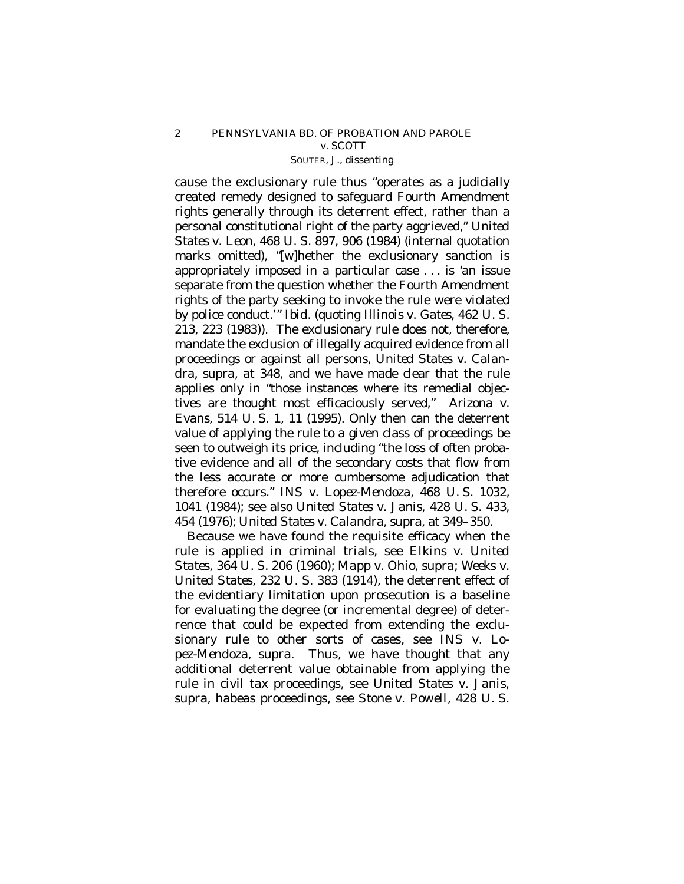cause the exclusionary rule thus "operates as a judicially created remedy designed to safeguard Fourth Amendment rights generally through its deterrent effect, rather than a personal constitutional right of the party aggrieved," *United States* v. *Leon,* 468 U. S. 897, 906 (1984) (internal quotation marks omitted), "[w]hether the exclusionary sanction is appropriately imposed in a particular case . . . is 'an issue separate from the question whether the Fourth Amendment rights of the party seeking to invoke the rule were violated by police conduct.'" *Ibid.* (quoting *Illinois* v. *Gates*, 462 U. S. 213, 223 (1983)). The exclusionary rule does not, therefore, mandate the exclusion of illegally acquired evidence from all proceedings or against all persons, *United States* v. *Calandra*, *supra*, at 348, and we have made clear that the rule applies only in "those instances where its remedial objectives are thought most efficaciously served," *Arizona* v. *Evans*, 514 U. S. 1, 11 (1995). Only then can the deterrent value of applying the rule to a given class of proceedings be seen to outweigh its price, including "the loss of often probative evidence and all of the secondary costs that flow from the less accurate or more cumbersome adjudication that therefore occurs." *INS* v. *Lopez-Mendoza,* 468 U. S. 1032, 1041 (1984); see also *United States* v. *Janis*, 428 U. S. 433, 454 (1976); *United States* v. *Calandra*, *supra*, at 349–350.

Because we have found the requisite efficacy when the rule is applied in criminal trials, see *Elkins* v. *United States,* 364 U. S. 206 (1960); *Mapp* v. *Ohio*, *supra*; *Weeks* v. *United States,* 232 U. S. 383 (1914), the deterrent effect of the evidentiary limitation upon prosecution is a baseline for evaluating the degree (or incremental degree) of deterrence that could be expected from extending the exclusionary rule to other sorts of cases, see *INS* v. *Lopez-Mendoza, supra*. Thus, we have thought that any additional deterrent value obtainable from applying the rule in civil tax proceedings, see *United States* v. *Janis, supra*, habeas proceedings, see *Stone* v. *Powell,* 428 U. S.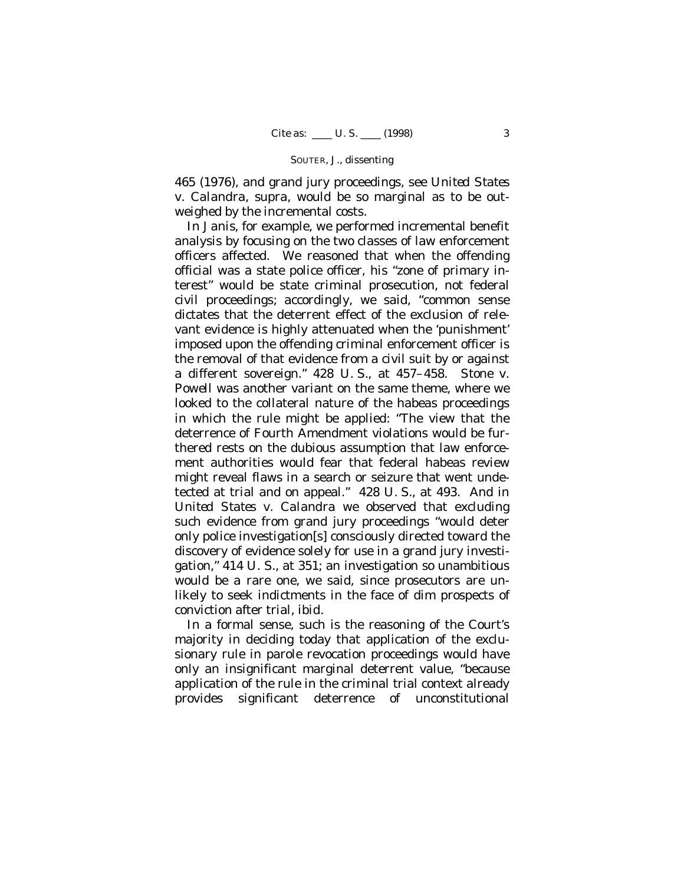465 (1976), and grand jury proceedings, see *United States* v. *Calandra, supra*, would be so marginal as to be outweighed by the incremental costs.

In *Janis*, for example, we performed incremental benefit analysis by focusing on the two classes of law enforcement officers affected. We reasoned that when the offending official was a state police officer, his "zone of primary interest" would be state criminal prosecution, not federal civil proceedings; accordingly, we said, "common sense dictates that the deterrent effect of the exclusion of relevant evidence is highly attenuated when the 'punishment' imposed upon the offending criminal enforcement officer is the removal of that evidence from a civil suit by or against a different sovereign." 428 U. S., at 457–458. *Stone* v. *Powell* was another variant on the same theme, where we looked to the collateral nature of the habeas proceedings in which the rule might be applied: "The view that the deterrence of Fourth Amendment violations would be furthered rests on the dubious assumption that law enforcement authorities would fear that federal habeas review might reveal flaws in a search or seizure that went undetected at trial and on appeal." 428 U. S., at 493. And in *United States* v. *Calandra* we observed that excluding such evidence from grand jury proceedings "would deter only police investigation[s] consciously directed toward the discovery of evidence solely for use in a grand jury investigation," 414 U. S., at 351; an investigation so unambitious would be a rare one, we said, since prosecutors are unlikely to seek indictments in the face of dim prospects of conviction after trial, *ibid.*

In a formal sense, such is the reasoning of the Court's majority in deciding today that application of the exclusionary rule in parole revocation proceedings would have only an insignificant marginal deterrent value, "because application of the rule in the criminal trial context already provides significant deterrence of unconstitutional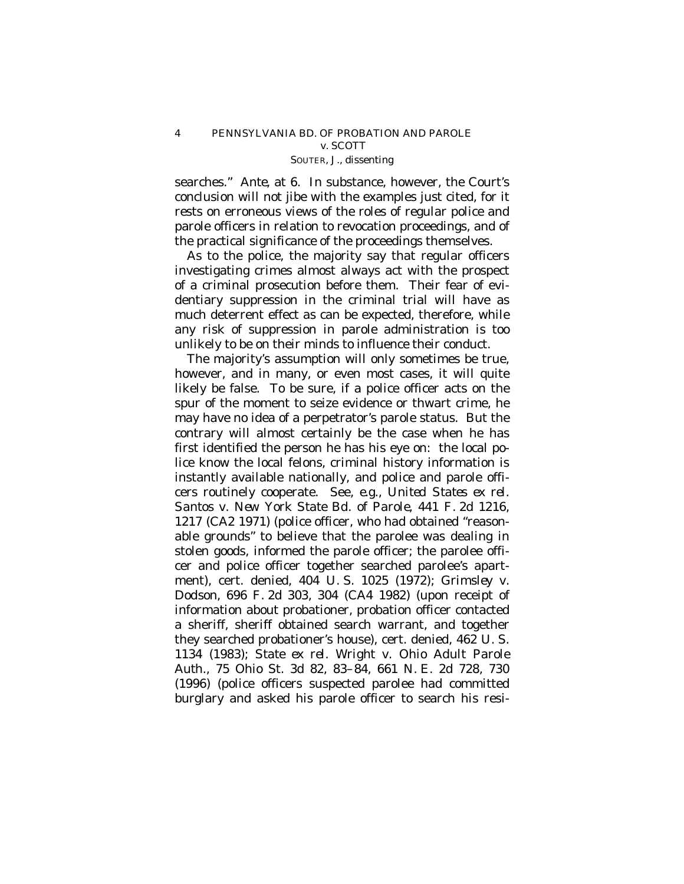searches." *Ante*, at 6. In substance, however, the Court's conclusion will not jibe with the examples just cited, for it rests on erroneous views of the roles of regular police and parole officers in relation to revocation proceedings, and of the practical significance of the proceedings themselves.

As to the police, the majority say that regular officers investigating crimes almost always act with the prospect of a criminal prosecution before them. Their fear of evidentiary suppression in the criminal trial will have as much deterrent effect as can be expected, therefore, while any risk of suppression in parole administration is too unlikely to be on their minds to influence their conduct.

The majority's assumption will only sometimes be true, however, and in many, or even most cases, it will quite likely be false. To be sure, if a police officer acts on the spur of the moment to seize evidence or thwart crime, he may have no idea of a perpetrator's parole status. But the contrary will almost certainly be the case when he has first identified the person he has his eye on: the local police know the local felons, criminal history information is instantly available nationally, and police and parole officers routinely cooperate. See, *e.g.*, *United States ex rel. Santos* v. *New York State Bd. of Parole*, 441 F. 2d 1216, 1217 (CA2 1971) (police officer, who had obtained "reasonable grounds" to believe that the parolee was dealing in stolen goods, informed the parole officer; the parolee officer and police officer together searched parolee's apartment), cert. denied, 404 U. S. 1025 (1972); *Grimsley* v. *Dodson*, 696 F. 2d 303, 304 (CA4 1982) (upon receipt of information about probationer, probation officer contacted a sheriff, sheriff obtained search warrant, and together they searched probationer's house), cert. denied, 462 U. S. 1134 (1983); *State ex rel. Wright* v. *Ohio Adult Parole Auth.*, 75 Ohio St. 3d 82, 83–84, 661 N. E. 2d 728, 730 (1996) (police officers suspected parolee had committed burglary and asked his parole officer to search his resi-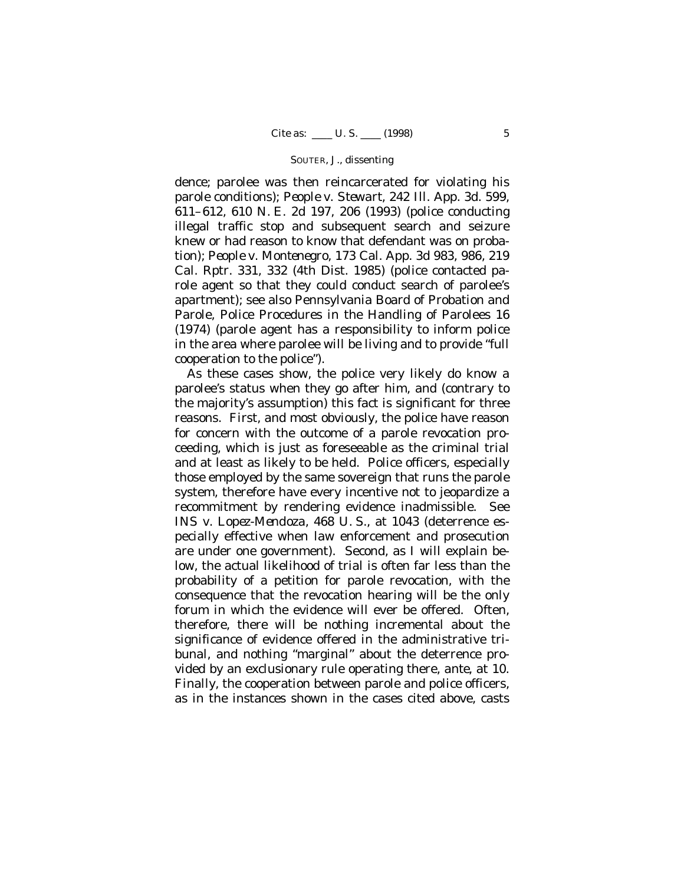dence; parolee was then reincarcerated for violating his parole conditions); *People* v. *Stewart*, 242 Ill. App. 3d. 599, 611–612, 610 N. E. 2d 197, 206 (1993) (police conducting illegal traffic stop and subsequent search and seizure knew or had reason to know that defendant was on probation); *People* v. *Montenegro*, 173 Cal. App. 3d 983, 986, 219 Cal. Rptr. 331, 332 (4th Dist. 1985) (police contacted parole agent so that they could conduct search of parolee's apartment); see also Pennsylvania Board of Probation and Parole, Police Procedures in the Handling of Parolees 16 (1974) (parole agent has a responsibility to inform police in the area where parolee will be living and to provide "full cooperation to the police").

As these cases show, the police very likely do know a parolee's status when they go after him, and (contrary to the majority's assumption) this fact is significant for three reasons. First, and most obviously, the police have reason for concern with the outcome of a parole revocation proceeding, which is just as foreseeable as the criminal trial and at least as likely to be held. Police officers, especially those employed by the same sovereign that runs the parole system, therefore have every incentive not to jeopardize a recommitment by rendering evidence inadmissible. See *INS* v. *Lopez-Mendoza,* 468 U. S., at 1043 (deterrence especially effective when law enforcement and prosecution are under one government). Second, as I will explain below, the actual likelihood of trial is often far less than the probability of a petition for parole revocation, with the consequence that the revocation hearing will be the only forum in which the evidence will ever be offered. Often, therefore, there will be nothing incremental about the significance of evidence offered in the administrative tribunal, and nothing "marginal" about the deterrence provided by an exclusionary rule operating there, *ante*, at 10. Finally, the cooperation between parole and police officers, as in the instances shown in the cases cited above, casts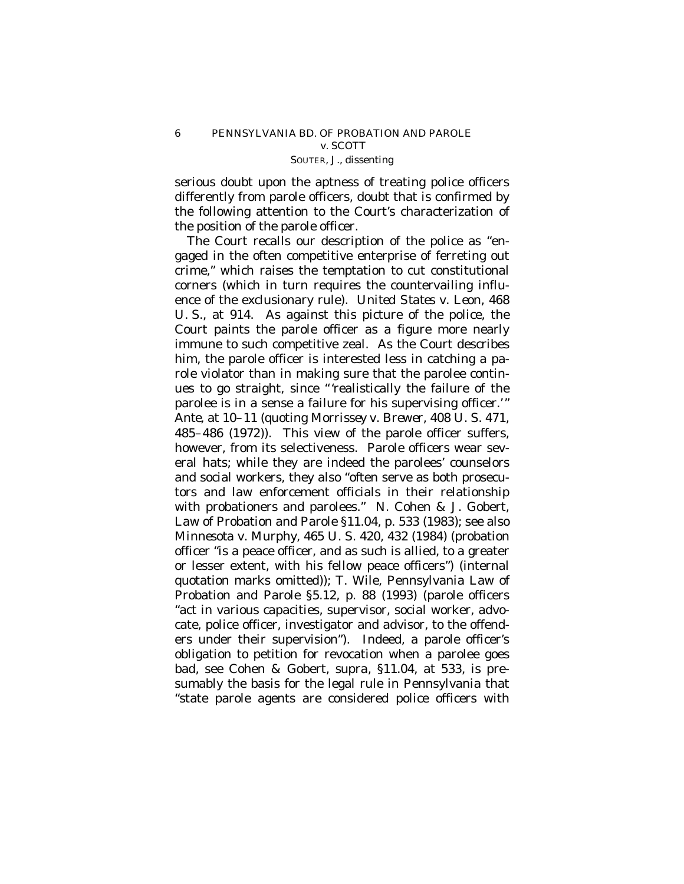serious doubt upon the aptness of treating police officers differently from parole officers, doubt that is confirmed by the following attention to the Court's characterization of the position of the parole officer.

The Court recalls our description of the police as "engaged in the often competitive enterprise of ferreting out crime," which raises the temptation to cut constitutional corners (which in turn requires the countervailing influence of the exclusionary rule). *United States* v. *Leon,* 468 U. S., at 914. As against this picture of the police, the Court paints the parole officer as a figure more nearly immune to such competitive zeal. As the Court describes him, the parole officer is interested less in catching a parole violator than in making sure that the parolee continues to go straight, since "'realistically the failure of the parolee is in a sense a failure for his supervising officer.'" *Ante*, at 10–11 (quoting *Morrissey* v. *Brewer*, 408 U. S. 471, 485–486 (1972)). This view of the parole officer suffers, however, from its selectiveness. Parole officers wear several hats; while they are indeed the parolees' counselors and social workers, they also "often serve as both prosecutors and law enforcement officials in their relationship with probationers and parolees." N. Cohen & J. Gobert, Law of Probation and Parole §11.04, p. 533 (1983); see also *Minnesota* v. *Murphy,* 465 U. S. 420, 432 (1984) (probation officer "is a peace officer, and as such is allied, to a greater or lesser extent, with his fellow peace officers") (internal quotation marks omitted)); T. Wile, Pennsylvania Law of Probation and Parole §5.12, p. 88 (1993) (parole officers "act in various capacities, supervisor, social worker, advocate, police officer, investigator and advisor, to the offenders under their supervision"). Indeed, a parole officer's obligation to petition for revocation when a parolee goes bad, see Cohen & Gobert*, supra,* §11.04, at 533, is presumably the basis for the legal rule in Pennsylvania that "state parole agents are considered police officers with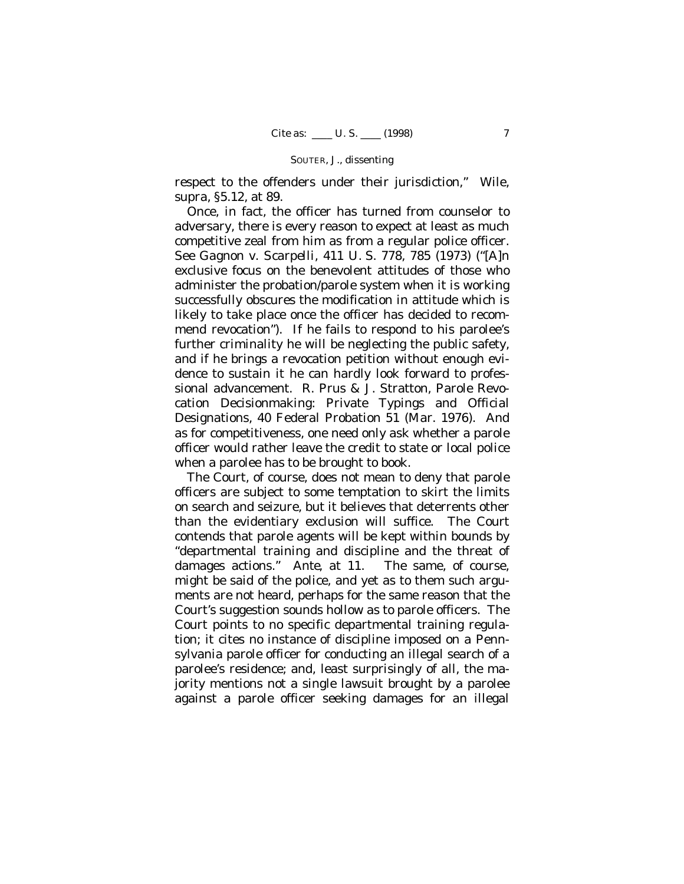respect to the offenders under their jurisdiction," Wile, *supra*, §5.12, at 89.

Once, in fact, the officer has turned from counselor to adversary, there is every reason to expect at least as much competitive zeal from him as from a regular police officer. See *Gagnon* v. *Scarpelli,* 411 U. S. 778, 785 (1973) ("[A]n exclusive focus on the benevolent attitudes of those who administer the probation/parole system when it is working successfully obscures the modification in attitude which is likely to take place once the officer has decided to recommend revocation"). If he fails to respond to his parolee's further criminality he will be neglecting the public safety, and if he brings a revocation petition without enough evidence to sustain it he can hardly look forward to professional advancement. R. Prus & J. Stratton, Parole Revocation Decisionmaking: Private Typings and Official Designations, 40 Federal Probation 51 (Mar. 1976). And as for competitiveness, one need only ask whether a parole officer would rather leave the credit to state or local police when a parolee has to be brought to book.

The Court, of course, does not mean to deny that parole officers are subject to some temptation to skirt the limits on search and seizure, but it believes that deterrents other than the evidentiary exclusion will suffice. The Court contends that parole agents will be kept within bounds by "departmental training and discipline and the threat of damages actions." *Ante*, at 11. The same, of course, might be said of the police, and yet as to them such arguments are not heard, perhaps for the same reason that the Court's suggestion sounds hollow as to parole officers. The Court points to no specific departmental training regulation; it cites no instance of discipline imposed on a Pennsylvania parole officer for conducting an illegal search of a parolee's residence; and, least surprisingly of all, the majority mentions not a single lawsuit brought by a parolee against a parole officer seeking damages for an illegal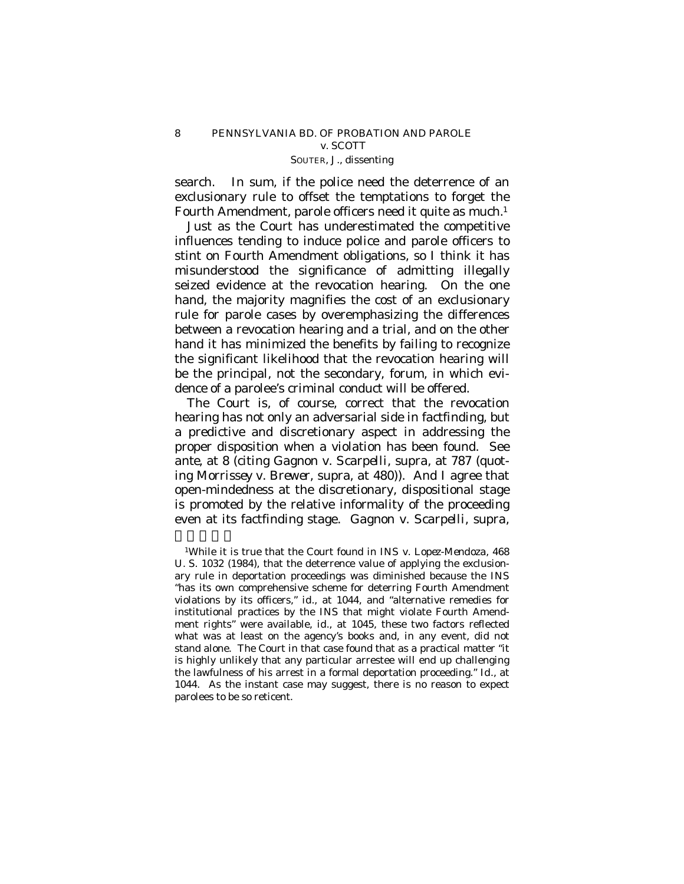search. In sum, if the police need the deterrence of an exclusionary rule to offset the temptations to forget the Fourth Amendment, parole officers need it quite as much.<sup>1</sup>

Just as the Court has underestimated the competitive influences tending to induce police and parole officers to stint on Fourth Amendment obligations, so I think it has misunderstood the significance of admitting illegally seized evidence at the revocation hearing. On the one hand, the majority magnifies the cost of an exclusionary rule for parole cases by overemphasizing the differences between a revocation hearing and a trial, and on the other hand it has minimized the benefits by failing to recognize the significant likelihood that the revocation hearing will be the principal, not the secondary, forum, in which evidence of a parolee's criminal conduct will be offered.

The Court is, of course, correct that the revocation hearing has not only an adversarial side in factfinding, but a predictive and discretionary aspect in addressing the proper disposition when a violation has been found. See *ante*, at 8 (citing *Gagnon* v. *Scarpelli, supra*, at 787 (quoting *Morrissey* v. *Brewer*, supra, at 480)). And I agree that open-mindedness at the discretionary, dispositional stage is promoted by the relative informality of the proceeding even at its factfinding stage. *Gagnon* v. *Scarpelli*, *supra*,

 $\overline{\phantom{a}}$ 

<sup>1</sup>While it is true that the Court found in *INS* v. *Lopez-Mendoza*, 468 U. S. 1032 (1984), that the deterrence value of applying the exclusionary rule in deportation proceedings was diminished because the INS "has its own comprehensive scheme for deterring Fourth Amendment violations by its officers," *id.*, at 1044, and "alternative remedies for institutional practices by the INS that might violate Fourth Amendment rights" were available, *id.*, at 1045, these two factors reflected what was at least on the agency's books and, in any event, did not stand alone. The Court in that case found that as a practical matter "it is highly unlikely that any particular arrestee will end up challenging the lawfulness of his arrest in a formal deportation proceeding." *Id.*, at 1044. As the instant case may suggest, there is no reason to expect parolees to be so reticent.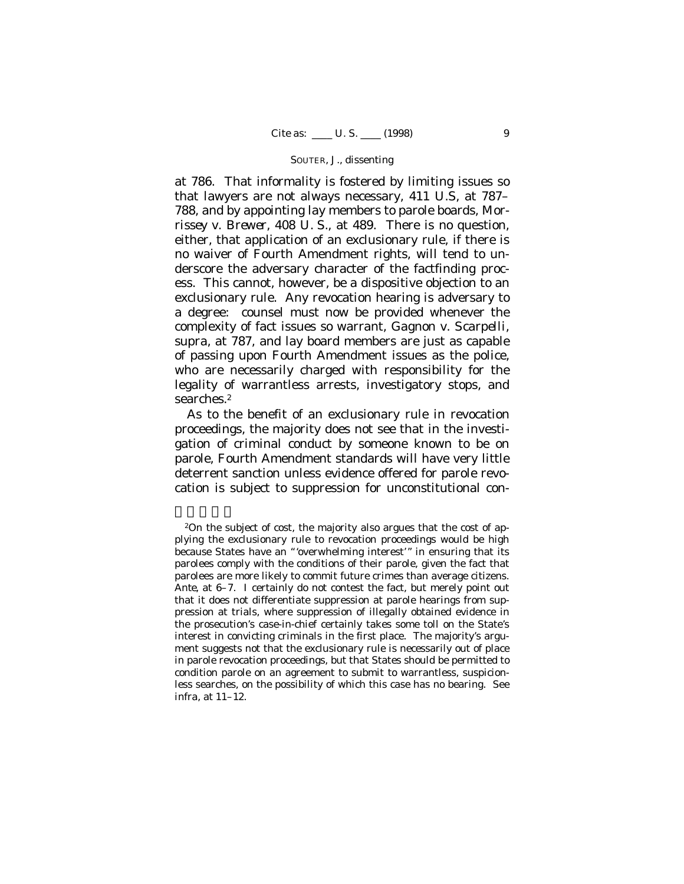at 786. That informality is fostered by limiting issues so that lawyers are not always necessary, 411 U.S, at 787– 788, and by appointing lay members to parole boards, *Morrissey* v. *Brewer*, 408 U. S., at 489. There is no question, either, that application of an exclusionary rule, if there is no waiver of Fourth Amendment rights, will tend to underscore the adversary character of the factfinding process. This cannot, however, be a dispositive objection to an exclusionary rule. Any revocation hearing is adversary to a degree: counsel must now be provided whenever the complexity of fact issues so warrant, *Gagnon* v. *Scarpelli*, *supra*, at 787, and lay board members are just as capable of passing upon Fourth Amendment issues as the police, who are necessarily charged with responsibility for the legality of warrantless arrests, investigatory stops, and searches.<sup>2</sup>

As to the benefit of an exclusionary rule in revocation proceedings, the majority does not see that in the investigation of criminal conduct by someone known to be on parole, Fourth Amendment standards will have very little deterrent sanction unless evidence offered for parole revocation is subject to suppression for unconstitutional con-

 $\overline{\phantom{a}}$ 

<sup>&</sup>lt;sup>2</sup>On the subject of cost, the majority also argues that the cost of applying the exclusionary rule to revocation proceedings would be high because States have an "'overwhelming interest'" in ensuring that its parolees comply with the conditions of their parole, given the fact that parolees are more likely to commit future crimes than average citizens. *Ante*, at 6–7. I certainly do not contest the fact, but merely point out that it does not differentiate suppression at parole hearings from suppression at trials, where suppression of illegally obtained evidence in the prosecution's case-in-chief certainly takes some toll on the State's interest in convicting criminals in the first place. The majority's argument suggests not that the exclusionary rule is necessarily out of place in parole revocation proceedings, but that States should be permitted to condition parole on an agreement to submit to warrantless, suspicionless searches, on the possibility of which this case has no bearing. See *infra*, at 11–12.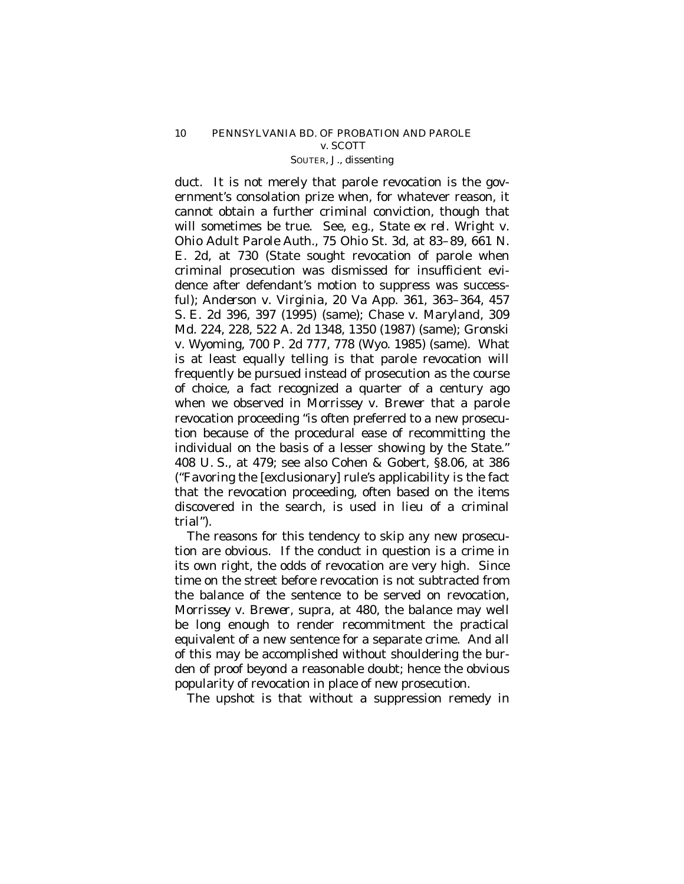duct. It is not merely that parole revocation is the government's consolation prize when, for whatever reason, it cannot obtain a further criminal conviction, though that will sometimes be true. See, *e.g.*, *State ex rel. Wright* v. *Ohio Adult Parole Auth.*, 75 Ohio St. 3d, at 83–89, 661 N. E. 2d, at 730 (State sought revocation of parole when criminal prosecution was dismissed for insufficient evidence after defendant's motion to suppress was successful); *Anderson* v. *Virginia*, 20 Va App. 361, 363–364, 457 S. E. 2d 396, 397 (1995) (same); *Chase* v. *Maryland*, 309 Md. 224, 228, 522 A. 2d 1348, 1350 (1987) (same); *Gronski* v. *Wyoming*, 700 P. 2d 777, 778 (Wyo. 1985) (same). What is at least equally telling is that parole revocation will frequently be pursued instead of prosecution as the course of choice, a fact recognized a quarter of a century ago when we observed in *Morrissey* v. *Brewer* that a parole revocation proceeding "is often preferred to a new prosecution because of the procedural ease of recommitting the individual on the basis of a lesser showing by the State." 408 U. S., at 479; see also Cohen & Gobert, §8.06, at 386 ("Favoring the [exclusionary] rule's applicability is the fact that the revocation proceeding, often based on the items discovered in the search, is used in lieu of a criminal trial").

The reasons for this tendency to skip any new prosecution are obvious. If the conduct in question is a crime in its own right, the odds of revocation are very high. Since time on the street before revocation is not subtracted from the balance of the sentence to be served on revocation, *Morrissey* v. *Brewer*, *supra*, at 480, the balance may well be long enough to render recommitment the practical equivalent of a new sentence for a separate crime. And all of this may be accomplished without shouldering the burden of proof beyond a reasonable doubt; hence the obvious popularity of revocation in place of new prosecution.

The upshot is that without a suppression remedy in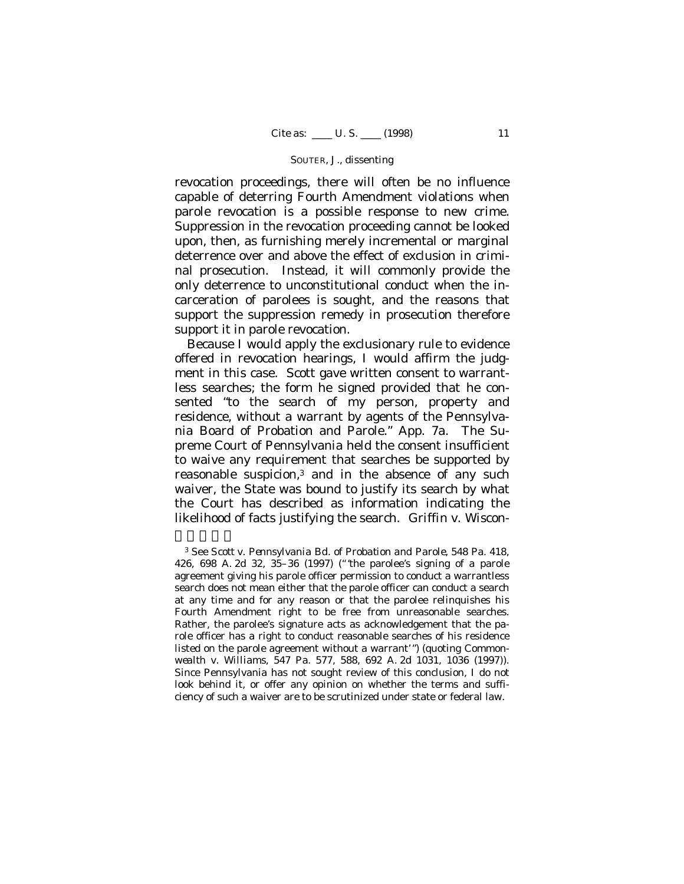revocation proceedings, there will often be no influence capable of deterring Fourth Amendment violations when parole revocation is a possible response to new crime. Suppression in the revocation proceeding cannot be looked upon, then, as furnishing merely incremental or marginal deterrence over and above the effect of exclusion in criminal prosecution. Instead, it will commonly provide the only deterrence to unconstitutional conduct when the incarceration of parolees is sought, and the reasons that support the suppression remedy in prosecution therefore support it in parole revocation.

Because I would apply the exclusionary rule to evidence offered in revocation hearings, I would affirm the judgment in this case. Scott gave written consent to warrantless searches; the form he signed provided that he consented "to the search of my person, property and residence, without a warrant by agents of the Pennsylvania Board of Probation and Parole." App. 7a. The Supreme Court of Pennsylvania held the consent insufficient to waive any requirement that searches be supported by reasonable suspicion,<sup>3</sup> and in the absence of any such waiver, the State was bound to justify its search by what the Court has described as information indicating the likelihood of facts justifying the search. *Griffin* v. *Wiscon-*

 $\overline{\phantom{a}}$ 

<sup>3</sup> See *Scott* v. *Pennsylvania Bd. of Probation and Parole*, 548 Pa. 418, 426, 698 A. 2d 32, 35–36 (1997) ("'the parolee's signing of a parole agreement giving his parole officer permission to conduct a warrantless search does not mean either that the parole officer can conduct a search at any time and for any reason or that the parolee relinquishes his Fourth Amendment right to be free from unreasonable searches. Rather, the parolee's signature acts as acknowledgement that the parole officer has a right to conduct reasonable searches of his residence listed on the parole agreement without a warrant'") (quoting *Commonwealth* v. *Williams*, 547 Pa. 577, 588, 692 A. 2d 1031, 1036 (1997)). Since Pennsylvania has not sought review of this conclusion, I do not look behind it, or offer any opinion on whether the terms and sufficiency of such a waiver are to be scrutinized under state or federal law.